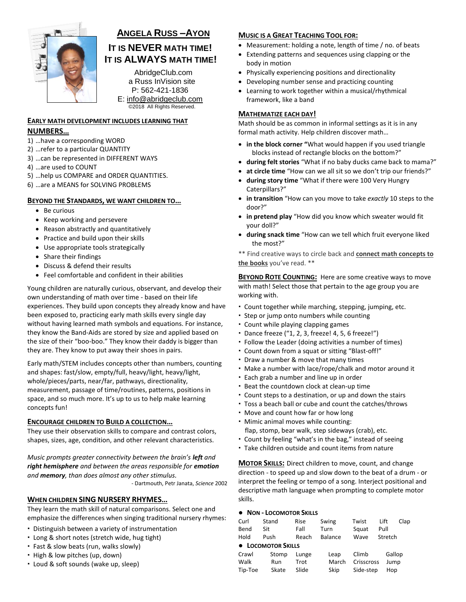

# **ANGELA RUSS –AYON**

# **IT IS NEVER MATH TIME! IT IS ALWAYS MATH TIME!**

AbridgeClub.com a Russ InVision site P: 562-421-1836 E: [info@abridgeclub.com](mailto:info@abridgeclub.com) ©2018 All Rights Reserved.

# **EARLY MATH DEVELOPMENT INCLUDES LEARNING THAT NUMBERS…**

- 1) …have a corresponding WORD
- 2) …refer to a particular QUANTITY
- 3) …can be represented in DIFFERENT WAYS
- 4) …are used to COUNT
- 5) …help us COMPARE and ORDER QUANTITIES.
- 6) …are a MEANS for SOLVING PROBLEMS

## **BEYOND THE STANDARDS, WE WANT CHILDREN TO…**

- Be curious
- Keep working and persevere
- Reason abstractly and quantitatively
- Practice and build upon their skills
- Use appropriate tools strategically
- Share their findings
- Discuss & defend their results
- Feel comfortable and confident in their abilities

Young children are naturally curious, observant, and develop their own understanding of math over time - based on their life experiences. They build upon concepts they already know and have been exposed to, practicing early math skills every single day without having learned math symbols and equations. For instance, they know the Band-Aids are stored by size and applied based on the size of their "boo-boo." They know their daddy is bigger than they are. They know to put away their shoes in pairs.

Early math/STEM includes concepts other than numbers, counting and shapes: fast/slow, empty/full, heavy/light, heavy/light, whole/pieces/parts, near/far, pathways, directionality, measurement, passage of time/routines, patterns, positions in space, and so much more. It's up to us to help make learning concepts fun!

#### **ENCOURAGE CHILDREN TO BUILD A COLLECTION…**

They use their observation skills to compare and contrast colors, shapes, sizes, age, condition, and other relevant characteristics.

*Music prompts greater connectivity between the brain's left and right hemisphere and between the areas responsible for emotion and memory, than does almost any other stimulus.* 

- Dartmouth, Petr Janata, *Science* 2002

## **WHEN CHILDREN SING NURSERY RHYMES…**

They learn the math skill of natural comparisons. Select one and emphasize the differences when singing traditional nursery rhymes:

- Distinguish between a variety of instrumentation
- Long & short notes (stretch wide, hug tight)
- Fast & slow beats (run, walks slowly)
- High & low pitches (up, down)
- Loud & soft sounds (wake up, sleep)

## **MUSIC IS A GREAT TEACHING TOOL FOR:**

- Measurement: holding a note, length of time / no. of beats
- Extending patterns and sequences using clapping or the body in motion
- Physically experiencing positions and directionality
- Developing number sense and practicing counting
- Learning to work together within a musical/rhythmical framework, like a band

## **MATHEMATIZE EACH DAY!**

Math should be as common in informal settings as it is in any formal math activity. Help children discover math…

- **in the block corner "**What would happen if you used triangle blocks instead of rectangle blocks on the bottom?"
- **during felt stories** "What if no baby ducks came back to mama?"
- **at circle time** "How can we all sit so we don't trip our friends?"
- **during story time** "What if there were 100 Very Hungry Caterpillars?"
- **in transition** "How can you move to take *exactly* 10 steps to the door?"
- **in pretend play** "How did you know which sweater would fit your doll?"
- **during snack time** "How can we tell which fruit everyone liked the most?"

\*\* Find creative ways to circle back and **connect math concepts to the books** you've read. \*\*

**BEYOND ROTE COUNTING:** Here are some creative ways to move with math! Select those that pertain to the age group you are working with.

- Count together while marching, stepping, jumping, etc.
- Step or jump onto numbers while counting
- Count while playing clapping games
- Dance freeze ("1, 2, 3, freeze! 4, 5, 6 freeze!")
- Follow the Leader (doing activities a number of times)
- Count down from a squat or sitting "Blast-off!"
- Draw a number & move that many times
- Make a number with lace/rope/chalk and motor around it
- Each grab a number and line up in order
- Beat the countdown clock at clean-up time
- Count steps to a destination, or up and down the stairs
- Toss a beach ball or cube and count the catches/throws
- Move and count how far or how long
- Mimic animal moves while counting: flap, stomp, bear walk, step sideways (crab), etc.
- Count by feeling "what's in the bag," instead of seeing
- Take children outside and count items from nature

**MOTOR SKILLS:** Direct children to move, count, and change direction - to speed up and slow down to the beat of a drum - or interpret the feeling or tempo of a song. Interject positional and descriptive math language when prompting to complete motor skills.

#### **● NON - LOCOMOTOR SKILLS**

| Curl               | Stand | Rise  | Swing   | Twist      | Lift<br>Clap |  |
|--------------------|-------|-------|---------|------------|--------------|--|
| Bend               | Sit   | Fall  | Turn    | Squat      | Pull         |  |
| Hold               | Push  | Reach | Balance | Wave       | Stretch      |  |
| • LOCOMOTOR SKILLS |       |       |         |            |              |  |
| Crawl              | Stomp | Lunge | Leap    | Climb      | Gallop       |  |
| Walk               | Run   | Trot  | March   | Crisscross | Jump         |  |
| Tip-Toe            | Skate | Slide | Skip    | Side-step  | Hop          |  |